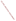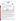# **THE ENVIRONMENTAL TECHNOLOGY VERIFICATION**







## **ETV Joint Verification Statement**

|                                   | TECHNOLOGY TYPE: RAPID TOXICITY TESTING SYSTEM             |             |                                     |  |  |  |
|-----------------------------------|------------------------------------------------------------|-------------|-------------------------------------|--|--|--|
| <b>APPLICATION:</b>               | DETECTING TOXICITY IN DRINKING WATER                       |             |                                     |  |  |  |
| <b>TECHNOLOGY NAME: Deltatox®</b> |                                                            |             |                                     |  |  |  |
| <b>COMPANY:</b>                   | <b>Strategic Diagnostics Inc.</b>                          |             |                                     |  |  |  |
| <b>ADDRESS:</b>                   | <b>111 Pencader Drive</b><br><b>Newark, Delaware 19702</b> | <b>FAX:</b> | PHONE: 302-456-6789<br>302-456-6782 |  |  |  |
| <b>WEB SITE:</b>                  | http://www.sdix.com/                                       |             |                                     |  |  |  |
| E-MAIL:                           | bferguson@sdix.com                                         |             |                                     |  |  |  |

The U.S. Environmental Protection Agency (EPA) supports the Environmental Technology Verification (ETV) Program to facilitate the deployment of innovative or improved environmental technologies through performance verification and dissemination of information. The goal of the ETV Program is to further environmental protection by accelerating the acceptance and use of improved and cost-effective technologies. ETV seeks to achieve this goal by providing high-quality, peer-reviewed data on technology performance to those involved in the design, distribution, financing, permitting, purchase, and use of environmental technologies.

ETV works in partnership with recognized standards and testing organizations, with stakeholder groups (consisting of buyers, vendor organizations, and permitters), and with individual technology developers. The program evaluates the performance of innovative technologies by developing test plans that are responsive to the needs of stakeholders, conducting field or laboratory tests (as appropriate), collecting and analyzing data, and preparing peer-reviewed reports. All evaluations are conducted in accordance with rigorous quality assurance (QA) protocols to ensure that data of known and adequate quality are generated and that the results are defensible.

The Advanced Monitoring Systems (AMS) Center, one of seven technology areas under ETV, is operated by Battelle in cooperation with EPA's National Exposure Research Laboratory. The AMS Center has recently evaluated the performance of rapid toxicity testing systems used to detect toxicity in drinking water. This verification statement provides a summary of the test results for the Deltatox® testing system.

### **VERIFICATION TEST DESCRIPTION**

Rapid toxicity technologies use bacteria, enzymes, or small crustaceans that produce light or use oxygen at a steady rate in the absence of toxic contaminants. Toxic contaminants in drinking water are indicated by a change in the color or intensity of light or by a change in the rate of oxygen use. As part of this verification test, which took place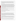between July 14 and August 22, 2003, various contaminants were added to separate drinking water samples and analyzed by Deltatox®. Response to interfering compounds in clean drinking water also was evaluated. Dechlorinated drinking water samples from Columbus, Ohio, (DDW) were fortified with contaminants at concentrations ranging from lethal levels to levels 1,000 times less than the lethal dose and analyzed. Endpoint and precision, toxicity threshold for each contaminant, false positive/negative responses, ease of use, and sample throughput were evaluated.

Inhibition results (endpoints) from four replicates of each contaminant at each concentration level were evaluated to assess the ability of the Deltatox® to detect toxicity at various concentrations of contaminants, as well as to measure the precision of the Deltatox<sup>®</sup> results. The response of Deltatox<sup>®</sup> to compounds used during the water treatment process (interfering compounds) was evaluated by analyzing separate aliquots of DDW fortified with each potential interferent at approximately one-half of the concentration limit recommended by the EPA's National Secondary Drinking Water Regulations guidance. For analysis of by-products of the chlorination process, unspiked DDW was analyzed because Columbus, Ohio, uses chlorination as its disinfectant procedure. For the analysis of by-products of the chloramination process, a separate drinking water sample from St. Petersburg, Florida, which uses chloramination as its disinfection process, was obtained. The samples were analyzed after residual chlorine was removed using sodium thiosulfate. Sample throughput was measured based on the number of samples analyzed per hour. Ease of use and reliability were determined based on documented observations of the operators and the verification test coordinator.

Quality control samples included method blank samples, which consisted of American Society for Testing and Materials Type II deionized water; positive control samples fortified with zinc sulfate or phenol; and negative control samples, which consisted of the unspiked DDW.

QA oversight of verification testing was provided by Battelle and EPA. Battelle QA staff conducted a technical systems audit, a performance evaluation audit, and a data quality audit of 10% of the test data. EPA QA staff also performed a technical systems audit while testing was being conducted.

### **TECHNOLOGY DESCRIPTION**

The following description of Deltatox<sup>®</sup> was provided by the vendor and was not subjected to verification in this test.

Deltatox® is an *in vitro* testing system that uses bioluminescent bacteria to detect toxins in air, water, soil, and sediment. Deltatox<sup>®</sup> is a metabolic inhibition test that provides both acute toxicity and genotoxic analyses. Deltatox® uses a strain of naturally occurring luminescent bacteria, *Vibrio fischeri*. *Vibrio fischeri* are nonpathogenic, marine, luminescent bacteria that are sensitive to a wide range of toxicants. When properly grown, luminescent bacteria produce light as a by-product of their cellular respiration. Cell respiration is fundamental to cellular metabolism and all associated life processes. Bacterial bioluminescence is tied directly to cell respiration, and any inhibition of cellular activity (toxicity) results in a decreased rate of respiration and a corresponding decrease in the rate of luminescence.

Deltatox® was tested as a stand-alone instrument along with the Deltatox® reagent. The *Vibrio fischeri* are supplied in a standard freeze-dried (lyophilized) state and, to analyze water samples, are reconstituted in a salt solution, 2.5 milliliters (mL) of the water sample are diluted with 250 microliters ( $\mu$ L) of a Deltatox<sup>®</sup> reagent, then approximately 1 mL of water sample is added to 100 µL of the reconstituted bacteria. Luminescence readings are taken prior to adding the drinking water and then at 5 minutes after the addition. Results are displayed as percent inhibition.

To determine whether a contaminant caused detectable inhibition, the inhibition exhibited by drinking water spiked with a contaminant was compared to the inhibition exhibited by the unspiked drinking water. Four replicates of each spiked sample were analyzed. A result was considered positive if the inhibition of the water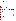sample spiked with a contaminant plus or minus the standard deviation of four replicates did not include the inhibition of the unspiked drinking water.

Deltatox® is a self-calibrating photometer that incorporates a photomultiplier tube, a data collection and reduction system, and software. Deltatox<sup>®</sup> can be battery operated and is field-portable, but it does not have temperaturecontrol capabilities. It detects light intensity at 490 nanometers, the wavelength emitted by the bacteria. Deltatox® can store up to 200 data points. These data can be downloaded to a personal computer with Windows® 95, 98, or subsequent operating system, running HyperTerminal/Terminal or a similar program. The data are downloaded as a standard ASCII text file, which can be viewed and edited in any standard ASCII text editor. Deltatox® is 10 inches x 6 inches x 4.5 inches and weighs 5.3 pounds (6 pounds with batteries). It operates on five standard "C" type batteries or a Universal Power Adapter (5.0 V dc  $\omega$  4 amps). Deltatox<sup>®</sup> costs \$5,900, and the consumables cost \$370 for 100 to 150 tests.

#### **VERIFICATION OF PERFORMANCE**

**Endpoint and Precision/Toxicity Threshold:** The table below presents Deltatox® percent inhibition data and the range of standard deviations for the contaminants and potential interferences that were tested. The toxicity thresholds also are shown for each contaminant tested.

|                                             |                                                    | Lethal                       | <b>Average Inhibitions at Concentrations</b><br>Relative to the LD Concentration (%) |                |                |                                      |                                                                   |                                                  |
|---------------------------------------------|----------------------------------------------------|------------------------------|--------------------------------------------------------------------------------------|----------------|----------------|--------------------------------------|-------------------------------------------------------------------|--------------------------------------------------|
| <b>Parameter</b>                            | Compound                                           | Dose (LD)<br>Conc.<br>(mg/L) | LD                                                                                   | LD/10          | LD/100         |                                      | <b>Range of</b><br><b>Standard</b><br>LD/1,000 Deviations $(\% )$ | <b>Toxicity</b><br>Thresh.<br>(mg/L)             |
| Contaminants in<br><b>DDW</b>               | Aldicarb                                           | 280                          | 72                                                                                   | 26             | 6              | $-1$                                 | $1 - 5$                                                           | 28                                               |
|                                             | Colchicine                                         | 240                          | 12                                                                                   | $\overline{0}$ | 3              | $\overline{2}$                       | $2 - 9$                                                           | $\mathrm{ND}^{\scriptscriptstyle{\mathrm{(a)}}}$ |
|                                             | Cyanide                                            | 250                          | 103                                                                                  | 81             | 14             | 5                                    | $1 - 4$                                                           | 0.25                                             |
|                                             | Dicrotophos                                        | 1,400                        | 65                                                                                   | 25             | $\overline{2}$ | $-2$                                 | $2 - 12$                                                          | 140                                              |
|                                             | Thallium<br>sulfate                                | 2,400                        | 25                                                                                   | 14             | $\overline{2}$ | 5                                    | $1 - 4$                                                           | 240                                              |
|                                             | <b>Botulinum</b><br>$\text{to}\, \text{sin}^{(b)}$ | 0.30                         | $-2$                                                                                 | $-3$           | $-5$           | $-4$                                 | $1 - 3$                                                           | ND                                               |
|                                             | Ricin <sup>(c)</sup>                               | 15                           | 2                                                                                    | $-4$           | 3              | $\overline{3}$                       | $1 - 5$                                                           | ND                                               |
|                                             | Soman                                              | $0.18^{(d)}$                 | $\overline{2}$                                                                       | $-6$           | 8              | $\mathbf{1}$                         | $3 - 5$                                                           | ND                                               |
|                                             | <b>VX</b>                                          | 0.22                         | 6                                                                                    | $\overline{2}$ | $\mathbf{1}$   | $-2$                                 | $1 - 6$                                                           | ND                                               |
|                                             | <b>Interference</b>                                | Conc.<br>(mg/L)              | <b>Average Inhibitions at a</b><br><b>Single Concentration (%)</b>                   |                |                | <b>Standard</b><br>Deviation $(\% )$ |                                                                   |                                                  |
| Potential<br>interferences in<br><b>DDW</b> | Aluminum                                           | 0.36                         | 3                                                                                    |                |                |                                      | $\overline{4}$                                                    |                                                  |
|                                             | Copper                                             | 0.65                         | 38                                                                                   |                |                |                                      | 4                                                                 |                                                  |
|                                             | <b>Iron</b>                                        | 0.07                         | $-3$                                                                                 |                |                |                                      | 6                                                                 |                                                  |
|                                             | Manganese                                          | 0.26                         | $-2$                                                                                 |                |                |                                      | 6                                                                 |                                                  |
|                                             | Zinc                                               | 3.5                          | 22                                                                                   |                |                |                                      | 6                                                                 |                                                  |

 $(a)$  ND = Not detectable.

(b) Lethal dose solution also contained 3 mg/L phosphate and 1 mg/L sodium chloride.

(c) Lethal dose solution also contained 3 mg/L phosphate, 26 mg/L sodium chloride, and 2 mg/L sodium azide.

(d) Due to the degradation of soman in water, the stock solution confirmation analysis confirmed that the concentration of the lethal dose was 61% of the expected concentration of 0.30 mg/L.